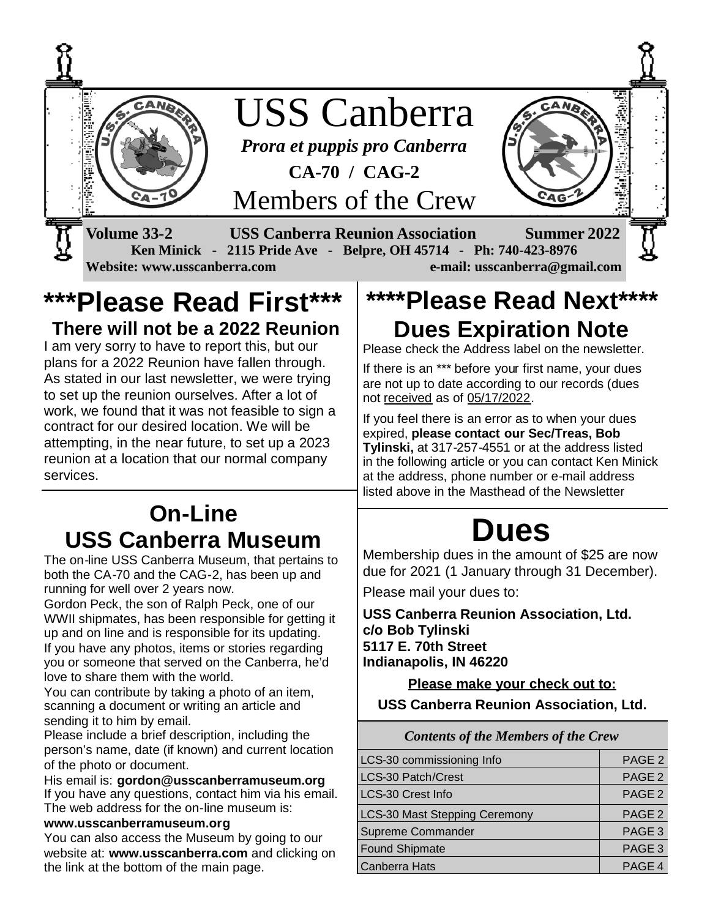

### **\*\*\*Please Read First\*\*\* There will not be a 2022 Reunion**

I am very sorry to have to report this, but our plans for a 2022 Reunion have fallen through. As stated in our last newsletter, we were trying to set up the reunion ourselves. After a lot of work, we found that it was not feasible to sign a contract for our desired location. We will be attempting, in the near future, to set up a 2023 reunion at a location that our normal company services.

# **On-Line USS Canberra Museum**

The on-line USS Canberra Museum, that pertains to both the CA-70 and the CAG-2, has been up and running for well over 2 years now.

Gordon Peck, the son of Ralph Peck, one of our WWII shipmates, has been responsible for getting it up and on line and is responsible for its updating. If you have any photos, items or stories regarding you or someone that served on the Canberra, he'd love to share them with the world.

You can contribute by taking a photo of an item, scanning a document or writing an article and sending it to him by email.

Please include a brief description, including the person's name, date (if known) and current location of the photo or document.

His email is: **gordon@usscanberramuseum.org** If you have any questions, contact him via his email. The web address for the on-line museum is:

#### **www.usscanberramuseum.org**

You can also access the Museum by going to our website at: **www.usscanberra.com** and clicking on the link at the bottom of the main page.

# **\*\*\*\*Please Read Next\*\*\*\* Dues Expiration Note**

Please check the Address label on the newsletter.

If there is an \*\*\* before your first name, your dues are not up to date according to our records (dues not received as of 05/17/2022.

If you feel there is an error as to when your dues expired, **please contact our Sec/Treas, Bob Tylinski,** at 317-257-4551 or at the address listed in the following article or you can contact Ken Minick at the address, phone number or e-mail address listed above in the Masthead of the Newsletter

# **Dues**

Membership dues in the amount of \$25 are now due for 2021 (1 January through 31 December).

Please mail your dues to:

**USS Canberra Reunion Association, Ltd. c/o Bob Tylinski 5117 E. 70th Street Indianapolis, IN 46220**

**Please make your check out to: USS Canberra Reunion Association, Ltd.**

*Contents of the Members of the Crew*

| PAGE <sub>2</sub><br>PAGE <sub>2</sub><br>PAGE <sub>2</sub><br>PAGE <sub>2</sub><br>PAGE <sub>3</sub><br>PAGE <sub>3</sub><br>PAGE 4 | <b>Contents of the Members of the Crew</b> |  |
|--------------------------------------------------------------------------------------------------------------------------------------|--------------------------------------------|--|
|                                                                                                                                      | LCS-30 commissioning Info                  |  |
|                                                                                                                                      | LCS-30 Patch/Crest                         |  |
|                                                                                                                                      | LCS-30 Crest Info                          |  |
|                                                                                                                                      | <b>LCS-30 Mast Stepping Ceremony</b>       |  |
|                                                                                                                                      | Supreme Commander                          |  |
|                                                                                                                                      | <b>Found Shipmate</b>                      |  |
|                                                                                                                                      | Canberra Hats                              |  |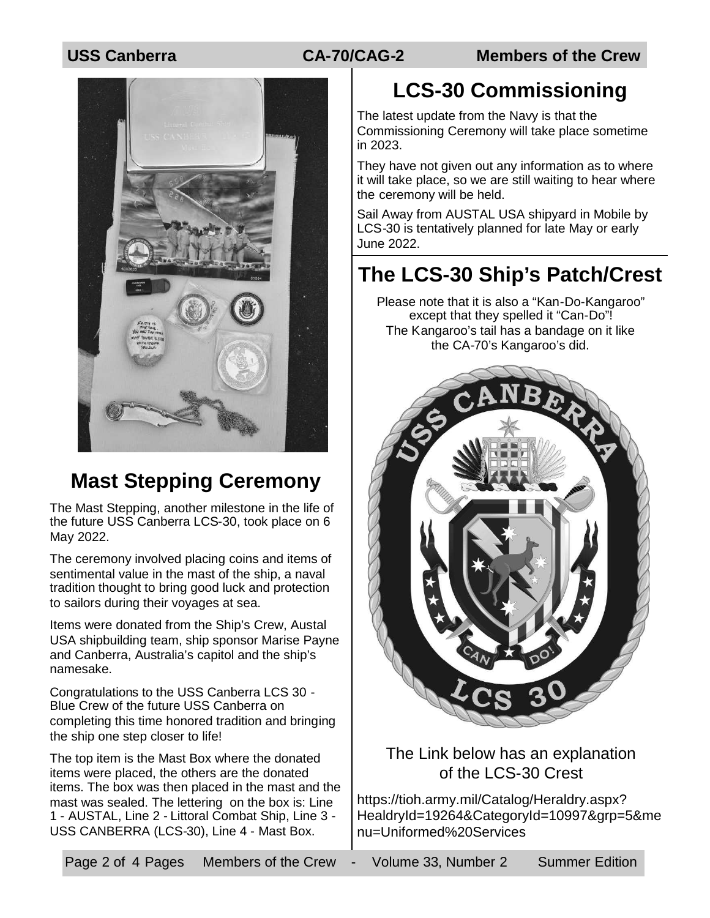**USS Canberra CA-70/CAG-2 Members of the Crew**



## **Mast Stepping Ceremony**

The Mast Stepping, another milestone in the life of the future USS Canberra LCS-30, took place on 6 May 2022.

The ceremony involved placing coins and items of sentimental value in the mast of the ship, a naval tradition thought to bring good luck and protection to sailors during their voyages at sea.

Items were donated from the Ship's Crew, Austal USA shipbuilding team, ship sponsor Marise Payne and Canberra, Australia's capitol and the ship's namesake.

Congratulations to the USS Canberra LCS 30 - Blue Crew of the future USS Canberra on completing this time honored tradition and bringing the ship one step closer to life!

The top item is the Mast Box where the donated items were placed, the others are the donated items. The box was then placed in the mast and the mast was sealed. The lettering on the box is: Line 1 - AUSTAL, Line 2 - Littoral Combat Ship, Line 3 - USS CANBERRA (LCS-30), Line 4 - Mast Box.

# **LCS-30 Commissioning**

The latest update from the Navy is that the Commissioning Ceremony will take place sometime in 2023.

They have not given out any information as to where it will take place, so we are still waiting to hear where the ceremony will be held.

Sail Away from AUSTAL USA shipyard in Mobile by LCS-30 is tentatively planned for late May or early June 2022.

## **The LCS-30 Ship's Patch/Crest**

Please note that it is also a "Kan-Do-Kangaroo" except that they spelled it "Can-Do"! The Kangaroo's tail has a bandage on it like the CA-70's Kangaroo's did.



#### The Link below has an explanation of the LCS-30 Crest

https://tioh.army.mil/Catalog/Heraldry.aspx? HealdryId=19264&CategoryId=10997&grp=5&me nu=Uniformed%20Services

Page 2 of 4 Pages Members of the Crew - Volume 33, Number 2 Summer Edition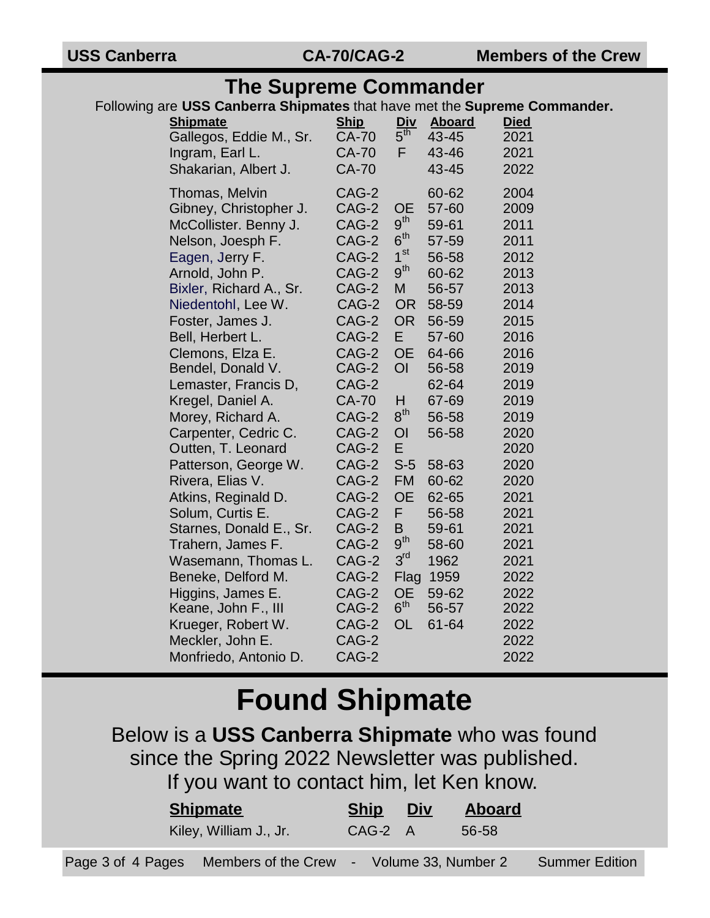#### **The Supreme Commander**

Following are **USS Canberra Shipmates** that have met the **Supreme Commander.**

| annon a omp<br><b>Shipmate</b><br>Gallegos, Eddie M., Sr.<br>Ingram, Earl L.<br>Shakarian, Albert J.                                                                                                                                                                                                                                                                                                                                                                                                                                                                                                           | <b>Ship</b><br><b>CA-70</b><br><b>CA-70</b><br><b>CA-70</b>                                                                                                                                                                                            | Div<br>$5^{\overline{th}}$<br>F                                                                                                                                                                                                                                                                                  | <b>Hated</b> that have mot the <b>oupreme</b><br><b>Aboard</b><br>43-45<br>43-46<br>43-45                                                                                                                                            | <b>Died</b><br>2021<br>2021<br>2022                                                                                                                                                                                  |
|----------------------------------------------------------------------------------------------------------------------------------------------------------------------------------------------------------------------------------------------------------------------------------------------------------------------------------------------------------------------------------------------------------------------------------------------------------------------------------------------------------------------------------------------------------------------------------------------------------------|--------------------------------------------------------------------------------------------------------------------------------------------------------------------------------------------------------------------------------------------------------|------------------------------------------------------------------------------------------------------------------------------------------------------------------------------------------------------------------------------------------------------------------------------------------------------------------|--------------------------------------------------------------------------------------------------------------------------------------------------------------------------------------------------------------------------------------|----------------------------------------------------------------------------------------------------------------------------------------------------------------------------------------------------------------------|
| Thomas, Melvin<br>Gibney, Christopher J.<br>McCollister. Benny J.<br>Nelson, Joesph F.<br>Eagen, Jerry F.<br>Arnold, John P.<br>Bixler, Richard A., Sr.<br>Niedentohl, Lee W.<br>Foster, James J.<br>Bell, Herbert L.<br>Clemons, Elza E.<br>Bendel, Donald V.<br>Lemaster, Francis D,<br>Kregel, Daniel A.<br>Morey, Richard A.<br>Carpenter, Cedric C.<br>Outten, T. Leonard<br>Patterson, George W.<br>Rivera, Elias V.<br>Atkins, Reginald D.<br>Solum, Curtis E.<br>Starnes, Donald E., Sr.<br>Trahern, James F.<br>Wasemann, Thomas L.<br>Beneke, Delford M.<br>Higgins, James E.<br>Keane, John F., III | CAG-2<br>CAG-2<br>CAG-2<br>CAG-2<br>CAG-2<br>CAG-2<br>CAG-2<br>CAG-2<br>CAG-2<br>CAG-2<br>CAG-2<br>CAG-2<br>CAG-2<br><b>CA-70</b><br>CAG-2<br>CAG-2<br>CAG-2<br>CAG-2<br>CAG-2<br>CAG-2<br>CAG-2<br>CAG-2<br>CAG-2<br>CAG-2<br>CAG-2<br>CAG-2<br>CAG-2 | <b>OE</b><br>9 <sup>th</sup><br>$6^{\sf th}$<br>1 <sup>st</sup><br>9 <sup>th</sup><br>M<br><b>OR</b><br><b>OR</b><br>E<br><b>OE</b><br>O <sub>l</sub><br>H<br>$8^{\text{th}}$<br>OI<br>E<br>$S-5$<br><b>FM</b><br><b>OE</b><br>F<br>B<br>9 <sup>th</sup><br>3 <sup>rd</sup><br>Flag<br><b>OE</b><br>$6^{\sf th}$ | 60-62<br>57-60<br>59-61<br>57-59<br>56-58<br>60-62<br>56-57<br>58-59<br>56-59<br>57-60<br>64-66<br>56-58<br>62-64<br>67-69<br>56-58<br>56-58<br>58-63<br>60-62<br>62-65<br>56-58<br>59-61<br>58-60<br>1962<br>1959<br>59-62<br>56-57 | 2004<br>2009<br>2011<br>2011<br>2012<br>2013<br>2013<br>2014<br>2015<br>2016<br>2016<br>2019<br>2019<br>2019<br>2019<br>2020<br>2020<br>2020<br>2020<br>2021<br>2021<br>2021<br>2021<br>2021<br>2022<br>2022<br>2022 |
| Krueger, Robert W.<br>Meckler, John E.                                                                                                                                                                                                                                                                                                                                                                                                                                                                                                                                                                         | CAG-2<br>CAG-2                                                                                                                                                                                                                                         | <b>OL</b>                                                                                                                                                                                                                                                                                                        | 61-64                                                                                                                                                                                                                                | 2022<br>2022                                                                                                                                                                                                         |
| Monfriedo, Antonio D.                                                                                                                                                                                                                                                                                                                                                                                                                                                                                                                                                                                          | CAG-2                                                                                                                                                                                                                                                  |                                                                                                                                                                                                                                                                                                                  |                                                                                                                                                                                                                                      | 2022                                                                                                                                                                                                                 |

# **Found Shipmate**

Below is a **USS Canberra Shipmate** who was found since the Spring 2022 Newsletter was published. If you want to contact him, let Ken know.

| <b>Shipmate</b>                                             | <b>Ship</b> | <u>Div</u> | <b>Aboard</b> |                       |
|-------------------------------------------------------------|-------------|------------|---------------|-----------------------|
| Kiley, William J., Jr.                                      | CAG-2 A     |            | 56-58         |                       |
| Page 3 of 4 Pages Members of the Crew - Volume 33, Number 2 |             |            |               | <b>Summer Edition</b> |